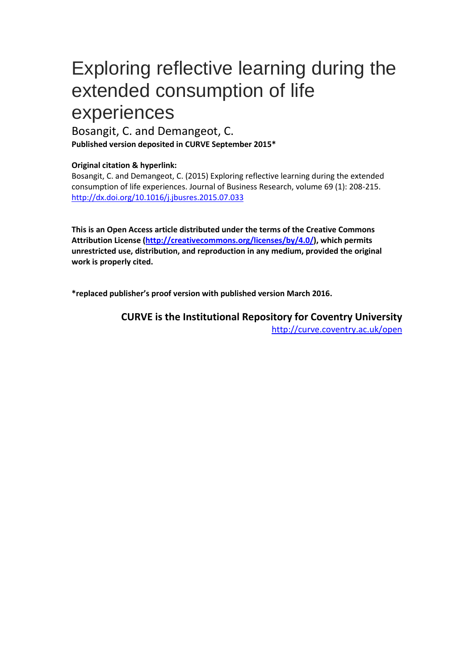# Exploring reflective learning during the extended consumption of life experiences

Bosangit, C. and Demangeot, C. **Published version deposited in CURVE September 2015\***

# **Original citation & hyperlink:**

Bosangit, C. and Demangeot, C. (2015) Exploring reflective learning during the extended consumption of life experiences. Journal of Business Research, volume 69 (1): 208-215. <http://dx.doi.org/10.1016/j.jbusres.2015.07.033>

**This is an Open Access article distributed under the terms of the Creative Commons Attribution License [\(http://creativecommons.org/licenses/by/4.0/\)](http://creativecommons.org/licenses/by/4.0/), which permits unrestricted use, distribution, and reproduction in any medium, provided the original work is properly cited.**

**\*replaced publisher's proof version with published version March 2016.** 

**CURVE is the Institutional Repository for Coventry University**

<http://curve.coventry.ac.uk/open>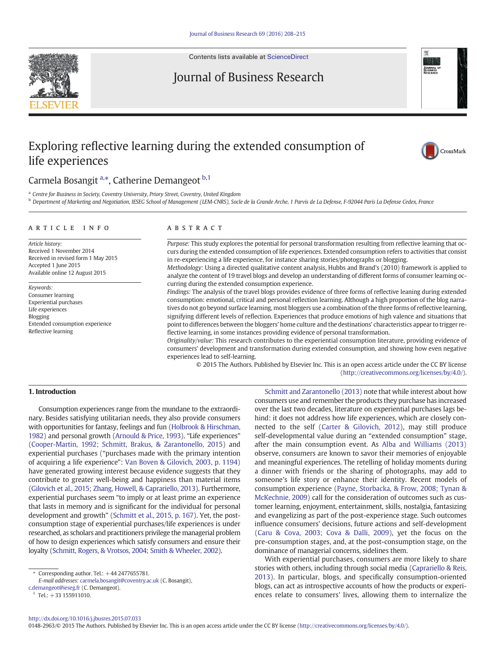

Contents lists available at [ScienceDirect](http://www.sciencedirect.com/science/journal/01482963)

# Journal of Business Research



# Exploring reflective learning during the extended consumption of life experiences



## Carmela Bosangit<sup>a,\*</sup>, Catherine Demangeot <sup>b,1</sup>

<sup>a</sup> Centre for Business in Society, Coventry University, Priory Street, Coventry, United Kingdom

<sup>b</sup> Department of Marketing and Negotiation, IESEG School of Management (LEM-CNRS), Socle de la Grande Arche, 1 Parvis de La Defense, F-92044 Paris La Defense Cedex, France

#### article info abstract

Article history: Received 1 November 2014 Received in revised form 1 May 2015 Accepted 1 June 2015 Available online 12 August 2015

Keywords: Consumer learning Experiential purchases Life experiences Blogging Extended consumption experience Reflective learning

Purpose: This study explores the potential for personal transformation resulting from reflective learning that occurs during the extended consumption of life experiences. Extended consumption refers to activities that consist in re-experiencing a life experience, for instance sharing stories/photographs or blogging.

Methodology: Using a directed qualitative content analysis, Hubbs and Brand's (2010) framework is applied to analyze the content of 19 travel blogs and develop an understanding of different forms of consumer learning occurring during the extended consumption experience.

Findings: The analysis of the travel blogs provides evidence of three forms of reflective leaning during extended consumption: emotional, critical and personal reflection learning. Although a high proportion of the blog narratives do not go beyond surface learning, most bloggers use a combination of the three forms of reflective learning, signifying different levels of reflection. Experiences that produce emotions of high valence and situations that point to differences between the bloggers' home culture and the destinations' characteristics appear to trigger reflective learning, in some instances providing evidence of personal transformation.

Originality/value: This research contributes to the experiential consumption literature, providing evidence of consumers' development and transformation during extended consumption, and showing how even negative experiences lead to self-learning.

© 2015 The Authors. Published by Elsevier Inc. This is an open access article under the CC BY license [\(http://creativecommons.org/licenses/by/4.0/](http://creativecommons.org/licenses/by/4.0/)).

### 1. Introduction

Consumption experiences range from the mundane to the extraordinary. Besides satisfying utilitarian needs, they also provide consumers with opportunities for fantasy, feelings and fun [\(Holbrook & Hirschman,](#page-8-0) [1982](#page-8-0)) and personal growth ([Arnould & Price, 1993](#page-8-0)). "Life experiences" [\(Cooper-Martin, 1992; Schmitt, Brakus, & Zarantonello, 2015\)](#page-8-0) and experiential purchases ("purchases made with the primary intention of acquiring a life experience": [Van Boven & Gilovich, 2003, p. 1194](#page-8-0)) have generated growing interest because evidence suggests that they contribute to greater well-being and happiness than material items [\(Gilovich et al., 2015; Zhang, Howell, & Caprariello, 2013](#page-8-0)). Furthermore, experiential purchases seem "to imply or at least prime an experience that lasts in memory and is significant for the individual for personal development and growth" [\(Schmitt et al., 2015, p. 167](#page-8-0)). Yet, the postconsumption stage of experiential purchases/life experiences is under researched, as scholars and practitioners privilege the managerial problem of how to design experiences which satisfy consumers and ensure their loyalty [\(Schmitt, Rogers, & Vrotsos, 2004; Smith & Wheeler, 2002](#page-8-0)).

[Schmitt and Zarantonello \(2013\)](#page-8-0) note that while interest about how consumers use and remember the products they purchase has increased over the last two decades, literature on experiential purchases lags behind: it does not address how life experiences, which are closely connected to the self ([Carter & Gilovich, 2012\)](#page-8-0), may still produce self-developmental value during an "extended consumption" stage, after the main consumption event. As [Alba and Williams \(2013\)](#page-8-0) observe, consumers are known to savor their memories of enjoyable and meaningful experiences. The retelling of holiday moments during a dinner with friends or the sharing of photographs, may add to someone's life story or enhance their identity. Recent models of consumption experience [\(Payne, Storbacka, & Frow, 2008; Tynan &](#page-8-0) [McKechnie, 2009\)](#page-8-0) call for the consideration of outcomes such as customer learning, enjoyment, entertainment, skills, nostalgia, fantasizing and evangelizing as part of the post-experience stage. Such outcomes influence consumers' decisions, future actions and self-development [\(Caru & Cova, 2003; Cova & Dalli, 2009\)](#page-8-0), yet the focus on the pre-consumption stages, and, at the post-consumption stage, on the dominance of managerial concerns, sidelines them.

With experiential purchases, consumers are more likely to share stories with others, including through social media [\(Caprariello & Reis,](#page-8-0) [2013](#page-8-0)). In particular, blogs, and specifically consumption-oriented blogs, can act as introspective accounts of how the products or experiences relate to consumers' lives, allowing them to internalize the

#### <http://dx.doi.org/10.1016/j.jbusres.2015.07.033>

0148-2963/© 2015 The Authors. Published by Elsevier Inc. This is an open access article under the CC BY license (<http://creativecommons.org/licenses/by/4.0/>).

 $*$  Corresponding author. Tel.:  $+44$  2477655781.

E-mail addresses: [carmela.bosangit@coventry.ac.uk](mailto:carmela.bosangit@coventry.ac.uk) (C. Bosangit),

[c.demangeot@ieseg.fr](mailto:c.demangeot@ieseg.fr) (C. Demangeot).

 $Tel.: +33 155911010.$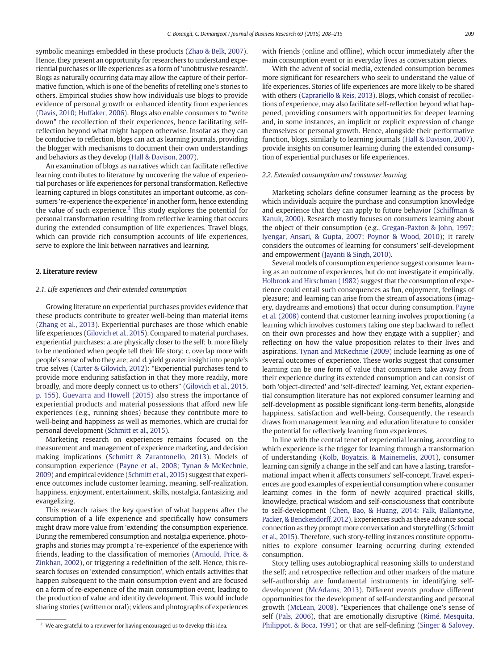symbolic meanings embedded in these products [\(Zhao & Belk, 2007](#page-8-0)). Hence, they present an opportunity for researchers to understand experiential purchases or life experiences as a form of 'unobtrusive research'. Blogs as naturally occurring data may allow the capture of their performative function, which is one of the benefits of retelling one's stories to others. Empirical studies show how individuals use blogs to provide evidence of personal growth or enhanced identity from experiences [\(Davis, 2010; Huffaker, 2006](#page-8-0)). Blogs also enable consumers to "write down" the recollection of their experiences, hence facilitating selfreflection beyond what might happen otherwise. Insofar as they can be conducive to reflection, blogs can act as learning journals, providing the blogger with mechanisms to document their own understandings and behaviors as they develop ([Hall & Davison, 2007\)](#page-8-0).

An examination of blogs as narratives which can facilitate reflective learning contributes to literature by uncovering the value of experiential purchases or life experiences for personal transformation. Reflective learning captured in blogs constitutes an important outcome, as consumers 're-experience the experience' in another form, hence extending the value of such experience.<sup>2</sup> This study explores the potential for personal transformation resulting from reflective learning that occurs during the extended consumption of life experiences. Travel blogs, which can provide rich consumption accounts of life experiences, serve to explore the link between narratives and learning.

#### 2. Literature review

#### 2.1. Life experiences and their extended consumption

Growing literature on experiential purchases provides evidence that these products contribute to greater well-being than material items [\(Zhang et al., 2013](#page-8-0)). Experiential purchases are those which enable life experiences ([Gilovich et al., 2015](#page-8-0)). Compared to material purchases, experiential purchases: a. are physically closer to the self; b. more likely to be mentioned when people tell their life story; c. overlap more with people's sense of who they are; and d. yield greater insight into people's true selves [\(Carter & Gilovich, 2012](#page-8-0)): "Experiential purchases tend to provide more enduring satisfaction in that they more readily, more broadly, and more deeply connect us to others" [\(Gilovich et al., 2015,](#page-8-0) [p. 155\)](#page-8-0). [Guevarra and Howell \(2015\)](#page-8-0) also stress the importance of experiential products and material possessions that afford new life experiences (e.g., running shoes) because they contribute more to well-being and happiness as well as memories, which are crucial for personal development ([Schmitt et al., 2015\)](#page-8-0).

Marketing research on experiences remains focused on the measurement and management of experience marketing, and decision making implications ([Schmitt & Zarantonello, 2013](#page-8-0)). Models of consumption experience ([Payne et al., 2008; Tynan & McKechnie,](#page-8-0) [2009](#page-8-0)) and empirical evidence [\(Schmitt et al., 2015\)](#page-8-0) suggest that experience outcomes include customer learning, meaning, self-realization, happiness, enjoyment, entertainment, skills, nostalgia, fantasizing and evangelizing.

This research raises the key question of what happens after the consumption of a life experience and specifically how consumers might draw more value from 'extending' the consumption experience. During the remembered consumption and nostalgia experience, photographs and stories may prompt a 're-experience' of the experience with friends, leading to the classification of memories ([Arnould, Price, &](#page-8-0) [Zinkhan, 2002](#page-8-0)), or triggering a redefinition of the self. Hence, this research focuses on 'extended consumption', which entails activities that happen subsequent to the main consumption event and are focused on a form of re-experience of the main consumption event, leading to the production of value and identity development. This would include sharing stories (written or oral); videos and photographs of experiences with friends (online and offline), which occur immediately after the main consumption event or in everyday lives as conversation pieces.

With the advent of social media, extended consumption becomes more significant for researchers who seek to understand the value of life experiences. Stories of life experiences are more likely to be shared with others [\(Caprariello & Reis, 2013](#page-8-0)). Blogs, which consist of recollections of experience, may also facilitate self-reflection beyond what happened, providing consumers with opportunities for deeper learning and, in some instances, an implicit or explicit expression of change themselves or personal growth. Hence, alongside their performative function, blogs, similarly to learning journals ([Hall & Davison, 2007](#page-8-0)), provide insights on consumer learning during the extended consumption of experiential purchases or life experiences.

#### 2.2. Extended consumption and consumer learning

Marketing scholars define consumer learning as the process by which individuals acquire the purchase and consumption knowledge and experience that they can apply to future behavior ([Schiffman &](#page-8-0) [Kanuk, 2000](#page-8-0)). Research mostly focuses on consumers learning about the object of their consumption (e.g., [Gregan-Paxton & John, 1997;](#page-8-0) [Iyengar, Ansari, & Gupta, 2007; Poynor & Wood, 2010\)](#page-8-0); it rarely considers the outcomes of learning for consumers' self-development and empowerment [\(Jayanti & Singh, 2010\)](#page-8-0).

Several models of consumption experience suggest consumer learning as an outcome of experiences, but do not investigate it empirically. [Holbrook and Hirschman \(1982\)](#page-8-0) suggest that the consumption of experience could entail such consequences as fun, enjoyment, feelings of pleasure; and learning can arise from the stream of associations (imagery, daydreams and emotions) that occur during consumption. [Payne](#page-8-0) [et al. \(2008\)](#page-8-0) contend that customer learning involves proportioning (a learning which involves customers taking one step backward to reflect on their own processes and how they engage with a supplier) and reflecting on how the value proposition relates to their lives and aspirations. [Tynan and McKechnie \(2009\)](#page-8-0) include learning as one of several outcomes of experience. These works suggest that consumer learning can be one form of value that consumers take away from their experience during its extended consumption and can consist of both 'object-directed' and 'self-directed' learning. Yet, extant experiential consumption literature has not explored consumer learning and self-development as possible significant long-term benefits, alongside happiness, satisfaction and well-being. Consequently, the research draws from management learning and education literature to consider the potential for reflectively learning from experiences.

In line with the central tenet of experiential learning, according to which experience is the trigger for learning through a transformation of understanding [\(Kolb, Boyatzis, & Mainemelis, 2001](#page-8-0)), consumer learning can signify a change in the self and can have a lasting, transformational impact when it affects consumers' self-concept. Travel experiences are good examples of experiential consumption where consumer learning comes in the form of newly acquired practical skills, knowledge, practical wisdom and self-consciousness that contribute to self-development ([Chen, Bao, & Huang, 2014; Falk, Ballantyne,](#page-8-0) [Packer, & Benckendorff, 2012\)](#page-8-0). Experiences such as these advance social connection as they prompt more conversation and storytelling [\(Schmitt](#page-8-0) [et al., 2015\)](#page-8-0). Therefore, such story-telling instances constitute opportunities to explore consumer learning occurring during extended consumption.

Story telling uses autobiographical reasoning skills to understand the self; and retrospective reflection and other markers of the mature self-authorship are fundamental instruments in identifying selfdevelopment ([McAdams, 2013](#page-8-0)). Different events produce different opportunities for the development of self-understanding and personal growth ([McLean, 2008](#page-8-0)). "Experiences that challenge one's sense of self [\(Pals, 2006](#page-8-0)), that are emotionally disruptive ([Rimé, Mesquita,](#page-8-0) <sup>2</sup> We are grateful to a reviewer for having encouraged us to develop this idea. [Philippot, & Boca, 1991\)](#page-8-0) or that are self-defining ([Singer & Salovey,](#page-8-0)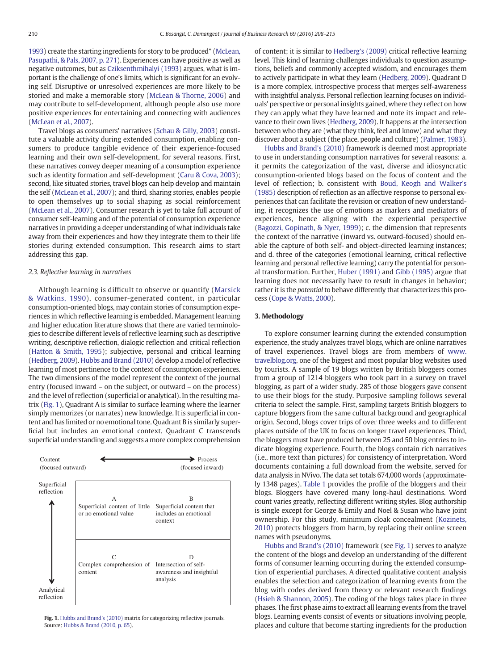[1993\)](#page-8-0) create the starting ingredients for story to be produced" ([McLean,](#page-8-0) [Pasupathi, & Pals, 2007, p. 271\)](#page-8-0). Experiences can have positive as well as negative outcomes, but as [Cziksenthmihalyi \(1993\)](#page-8-0) argues, what is important is the challenge of one's limits, which is significant for an evolving self. Disruptive or unresolved experiences are more likely to be storied and make a memorable story ([McLean & Thorne, 2006\)](#page-8-0) and may contribute to self-development, although people also use more positive experiences for entertaining and connecting with audiences [\(McLean et al., 2007](#page-8-0)).

Travel blogs as consumers' narratives [\(Schau & Gilly, 2003\)](#page-8-0) constitute a valuable activity during extended consumption, enabling consumers to produce tangible evidence of their experience-focused learning and their own self-development, for several reasons. First, these narratives convey deeper meaning of a consumption experience such as identity formation and self-development [\(Caru & Cova, 2003\)](#page-8-0); second, like situated stories, travel blogs can help develop and maintain the self ([McLean et al., 2007](#page-8-0)); and third, sharing stories, enables people to open themselves up to social shaping as social reinforcement [\(McLean et al., 2007](#page-8-0)). Consumer research is yet to take full account of consumer self-learning and of the potential of consumption experience narratives in providing a deeper understanding of what individuals take away from their experiences and how they integrate them to their life stories during extended consumption. This research aims to start addressing this gap.

#### 2.3. Reflective learning in narratives

Although learning is difficult to observe or quantify ([Marsick](#page-8-0) [& Watkins, 1990](#page-8-0)), consumer-generated content, in particular consumption-oriented blogs, may contain stories of consumption experiences in which reflective learning is embedded. Management learning and higher education literature shows that there are varied terminologies to describe different levels of reflective learning such as descriptive writing, descriptive reflection, dialogic reflection and critical reflection [\(Hatton & Smith, 1995\)](#page-8-0); subjective, personal and critical learning [\(Hedberg, 2009\)](#page-8-0). [Hubbs and Brand \(2010\)](#page-8-0) develop a model of reflective learning of most pertinence to the context of consumption experiences. The two dimensions of the model represent the context of the journal entry (focused inward – on the subject, or outward – on the process) and the level of reflection (superficial or analytical). In the resulting matrix (Fig. 1), Quadrant A is similar to surface learning where the learner simply memorizes (or narrates) new knowledge. It is superficial in content and has limited or no emotional tone. Quadrant B is similarly superficial but includes an emotional context. Quadrant C transcends superficial understanding and suggests a more complex comprehension



Fig. 1. [Hubbs and Brand's \(2010\)](#page-8-0) matrix for categorizing reflective journals. Source: [Hubbs & Brand \(2010, p. 65\)](#page-8-0).

of content; it is similar to [Hedberg's \(2009\)](#page-8-0) critical reflective learning level. This kind of learning challenges individuals to question assumptions, beliefs and commonly accepted wisdom, and encourages them to actively participate in what they learn [\(Hedberg, 2009](#page-8-0)). Quadrant D is a more complex, introspective process that merges self-awareness with insightful analysis. Personal reflection learning focuses on individuals' perspective or personal insights gained, where they reflect on how they can apply what they have learned and note its impact and relevance to their own lives [\(Hedberg, 2009\)](#page-8-0). It happens at the intersection between who they are (what they think, feel and know) and what they discover about a subject (the place, people and culture) [\(Palmer, 1983\)](#page-8-0).

[Hubbs and Brand's \(2010\)](#page-8-0) framework is deemed most appropriate to use in understanding consumption narratives for several reasons: a. it permits the categorization of the vast, diverse and idiosyncratic consumption-oriented blogs based on the focus of content and the level of reflection; b. consistent with [Boud, Keogh and Walker's](#page-8-0) [\(1985\)](#page-8-0) description of reflection as an affective response to personal experiences that can facilitate the revision or creation of new understanding, it recognizes the use of emotions as markers and mediators of experiences, hence aligning with the experiential perspective [\(Bagozzi, Gopinath, & Nyer, 1999](#page-8-0)); c. the dimension that represents the context of the narrative (inward vs. outward-focused) should enable the capture of both self- and object-directed learning instances; and d. three of the categories (emotional learning, critical reflective learning and personal reflective learning) carry the potential for personal transformation. Further, [Huber \(1991\)](#page-8-0) and [Gibb \(1995\)](#page-8-0) argue that learning does not necessarily have to result in changes in behavior; rather it is the potential to behave differently that characterizes this process ([Cope & Watts, 2000\)](#page-8-0).

#### 3. Methodology

To explore consumer learning during the extended consumption experience, the study analyzes travel blogs, which are online narratives of travel experiences. Travel blogs are from members of [www.](http://www.travelblog.org) [travelblog.org,](http://www.travelblog.org) one of the biggest and most popular blog websites used by tourists. A sample of 19 blogs written by British bloggers comes from a group of 1214 bloggers who took part in a survey on travel blogging, as part of a wider study. 285 of those bloggers gave consent to use their blogs for the study. Purposive sampling follows several criteria to select the sample. First, sampling targets British bloggers to capture bloggers from the same cultural background and geographical origin. Second, blogs cover trips of over three weeks and to different places outside of the UK to focus on longer travel experiences. Third, the bloggers must have produced between 25 and 50 blog entries to indicate blogging experience. Fourth, the blogs contain rich narratives (i.e., more text than pictures) for consistency of interpretation. Word documents containing a full download from the website, served for data analysis in NVivo. The data set totals 674,000 words (approximately 1348 pages). [Table 1](#page-4-0) provides the profile of the bloggers and their blogs. Bloggers have covered many long-haul destinations. Word count varies greatly, reflecting different writing styles. Blog authorship is single except for George & Emily and Noel & Susan who have joint ownership. For this study, minimum cloak concealment [\(Kozinets,](#page-8-0) [2010](#page-8-0)) protects bloggers from harm, by replacing their online screen names with pseudonyms.

[Hubbs and Brand's \(2010\)](#page-8-0) framework (see Fig. 1) serves to analyze the content of the blogs and develop an understanding of the different forms of consumer learning occurring during the extended consumption of experiential purchases. A directed qualitative content analysis enables the selection and categorization of learning events from the blog with codes derived from theory or relevant research findings [\(Hsieh & Shannon, 2005](#page-8-0)). The coding of the blogs takes place in three phases. The first phase aims to extract all learning events from the travel blogs. Learning events consist of events or situations involving people, places and culture that become starting ingredients for the production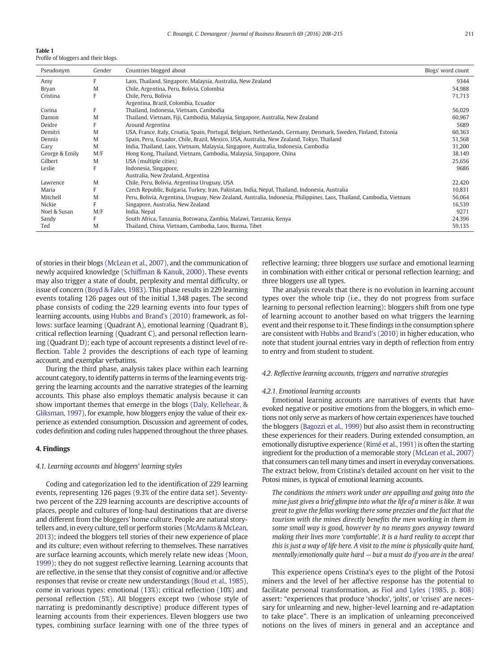#### <span id="page-4-0"></span>Table 1 Profile of bloggers and their blogs.

| Pseudonym      | Gender | Countries blogged about                                                                                              | Blogs' word count |
|----------------|--------|----------------------------------------------------------------------------------------------------------------------|-------------------|
| Amy            | F      | Laos, Thailand, Singapore, Malaysia, Australia, New Zealand                                                          | 9344              |
| Bryan          | M      | Chile, Argentina, Peru, Bolivia, Colombia                                                                            | 54,988            |
| Cristina       | F      | Chile, Peru, Bolivia                                                                                                 | 71,713            |
|                |        | Argentina, Brazil, Colombia, Ecuador                                                                                 |                   |
| Corina         | F      | Thailand, Indonesia, Vietnam, Cambodia                                                                               | 56,029            |
| Damon          | M      | Thailand, Vietnam, Fiji, Cambodia, Malaysia, Singapore, Australia, New Zealand                                       | 60,967            |
| Deidre         | F      | Around Argentina                                                                                                     | 5689              |
| Demitri        | M      | USA, France, Italy, Croatia, Spain, Portugal, Belgium, Netherlands, Germany, Denmark, Sweden, Finland, Estonia       | 60,363            |
| Dennis         | M      | Spain, Peru, Ecuador, Chile, Brazil, Mexico, USA, Australia, New Zealand, Tokyo, Thailand                            | 51,568            |
| Gary           | M      | India, Thailand, Laos, Vietnam, Malaysia, Singapore, Australia, Indonesia, Cambodia                                  | 31,200            |
| George & Emily | M/F    | Hong Kong, Thailand, Vietnam, Cambodia, Malaysia, Singapore, China                                                   | 38,149            |
| Gilbert        | M      | USA (multiple cities)                                                                                                | 25,656            |
| Leslie         | F      | Indonesia, Singapore,                                                                                                | 9686              |
|                |        | Australia, New Zealand, Argentina                                                                                    |                   |
| Lawrence       | M      | Chile, Peru, Bolivia, Argentina Uruguay, USA                                                                         | 22,420            |
| Maria          |        | Czech Republic, Bulgaria, Turkey, Iran, Pakistan, India, Nepal, Thailand, Indonesia, Australia                       | 10,831            |
| Mitchell       | M      | Peru, Bolivia, Argentina, Uruguay, New Zealand, Australia, Indonesia, Philippines, Laos, Thailand, Cambodia, Vietnam | 56,064            |
| Nickie         | F      | Singapore, Australia, New Zealand                                                                                    | 16,539            |
| Noel & Susan   | M/F    | India, Nepal                                                                                                         | 9271              |
| Sandy          |        | South Africa, Tanzania, Botswana, Zambia, Malawi, Tanzania, Kenya                                                    | 24,396            |
| Ted            | M      | Thailand, China, Vietnam, Cambodia, Laos, Burma, Tibet                                                               | 59,135            |

of stories in their blogs [\(McLean et al., 2007](#page-8-0)), and the communication of newly acquired knowledge [\(Schiffman & Kanuk, 2000\)](#page-8-0). These events may also trigger a state of doubt, perplexity and mental difficulty, or issue of concern [\(Boyd & Fales, 1983](#page-8-0)). This phase results in 229 learning events totaling 126 pages out of the initial 1,348 pages. The second phase consists of coding the 229 learning events into four types of learning accounts, using [Hubbs and Brand's \(2010\)](#page-8-0) framework, as follows: surface learning (Quadrant A), emotional learning (Quadrant B), critical reflection learning (Quadrant C), and personal reflection learning (Quadrant D); each type of account represents a distinct level of reflection. [Table 2](#page-5-0) provides the descriptions of each type of learning account, and exemplar verbatims.

During the third phase, analysis takes place within each learning account category, to identify patterns in terms of the learning events triggering the learning accounts and the narrative strategies of the learning accounts. This phase also employs thematic analysis because it can show important themes that emerge in the blogs ([Daly, Kellehear, &](#page-8-0) [Gliksman, 1997\)](#page-8-0), for example, how bloggers enjoy the value of their experience as extended consumption. Discussion and agreement of codes, codes definition and coding rules happened throughout the three phases.

#### 4. Findings

#### 4.1. Learning accounts and bloggers' learning styles

Coding and categorization led to the identification of 229 learning events, representing 126 pages (9.3% of the entire data set). Seventytwo percent of the 229 learning accounts are descriptive accounts of places, people and cultures of long-haul destinations that are diverse and different from the bloggers' home culture. People are natural storytellers and, in every culture, tell or perform stories ([McAdams & McLean,](#page-8-0) [2013](#page-8-0)); indeed the bloggers tell stories of their new experience of place and its culture; even without referring to themselves. These narratives are surface learning accounts, which merely relate new ideas ([Moon,](#page-8-0) [1999\)](#page-8-0); they do not suggest reflective learning. Learning accounts that are reflective, in the sense that they consist of cognitive and/or affective responses that revise or create new understandings ([Boud et al., 1985](#page-8-0)), come in various types: emotional (13%); critical reflection (10%) and personal reflection (5%). All bloggers except two (whose style of narrating is predominantly descriptive) produce different types of learning accounts from their experiences. Eleven bloggers use two types, combining surface learning with one of the three types of reflective learning; three bloggers use surface and emotional learning in combination with either critical or personal reflection learning; and three bloggers use all types.

The analysis reveals that there is no evolution in learning account types over the whole trip (i.e., they do not progress from surface learning to personal reflection learning): bloggers shift from one type of learning account to another based on what triggers the learning event and their response to it. These findings in the consumption sphere are consistent with [Hubbs and Brand's \(2010\)](#page-8-0) in higher education, who note that student journal entries vary in depth of reflection from entry to entry and from student to student.

#### 4.2. Reflective learning accounts, triggers and narrative strategies

#### 4.2.1. Emotional learning accounts

Emotional learning accounts are narratives of events that have evoked negative or positive emotions from the bloggers, in which emotions not only serve as markers of how certain experiences have touched the bloggers [\(Bagozzi et al., 1999\)](#page-8-0) but also assist them in reconstructing these experiences for their readers. During extended consumption, an emotionally disruptive experience ([Rimé et al., 1991](#page-8-0)) is often the starting ingredient for the production of a memorable story [\(McLean et al., 2007](#page-8-0)) that consumers can tell many times and insert in everyday conversations. The extract below, from Cristina's detailed account on her visit to the Potosi mines, is typical of emotional learning accounts.

The conditions the miners work under are appalling and going into the mine just gives a brief glimpse into what the life of a miner is like. It was great to give the fellas working there some prezzies and the fact that the tourism with the mines directly benefits the men working in them in some small way is good, however by no means goes anyway toward making their lives more 'comfortable'. It is a hard reality to accept that this is just a way of life here. A visit to the mine is physically quite hard, mentally/emotionally quite hard — but a must do if you are in the area!

This experience opens Cristina's eyes to the plight of the Potosi miners and the level of her affective response has the potential to facilitate personal transformation, as [Fiol and Lyles \(1985, p. 808\)](#page-8-0) assert: "experiences that produce 'shocks', 'jolts', or 'crises' are necessary for unlearning and new, higher-level learning and re-adaptation to take place". There is an implication of unlearning preconceived notions on the lives of miners in general and an acceptance and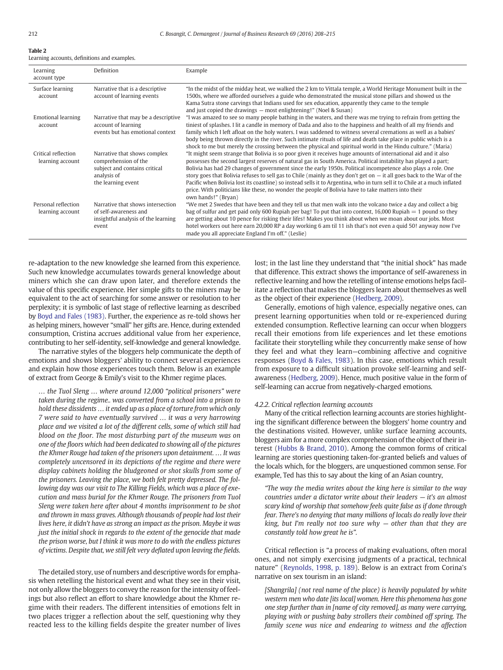<span id="page-5-0"></span>Table 2

| $\mathbf{u}$ |                                              |  |
|--------------|----------------------------------------------|--|
|              | Learning accounts, definitions and examples. |  |

| Learning<br>account type                | Definition                                                                                                                 | Example                                                                                                                                                                                                                                                                                                                                                                                                                                                                                                                                                                                                                                                                                                                                    |
|-----------------------------------------|----------------------------------------------------------------------------------------------------------------------------|--------------------------------------------------------------------------------------------------------------------------------------------------------------------------------------------------------------------------------------------------------------------------------------------------------------------------------------------------------------------------------------------------------------------------------------------------------------------------------------------------------------------------------------------------------------------------------------------------------------------------------------------------------------------------------------------------------------------------------------------|
| Surface learning<br>account             | Narrative that is a descriptive<br>account of learning events                                                              | "In the midst of the midday heat, we walked the 2 km to Vittala temple, a World Heritage Monument built in the<br>1500s, where we afforded ourselves a guide who demonstrated the musical stone pillars and showed us the<br>Kama Sutra stone carvings that Indians used for sex education, apparently they came to the temple<br>and just copied the drawings $-$ most enlightening!" (Noel & Susan)                                                                                                                                                                                                                                                                                                                                      |
| <b>Emotional learning</b><br>account    | Narrative that may be a descriptive<br>account of learning<br>events but has emotional context                             | "I was amazed to see so many people bathing in the waters, and there was me trying to refrain from getting the<br>tiniest of splashes. I lit a candle in memory of Dada and also to the happiness and health of all my friends and<br>family which I left afloat on the holy waters. I was saddened to witness several cremations as well as a babies'<br>body being thrown directly in the river. Such intimate rituals of life and death take place in public which is a<br>shock to me but merely the crossing between the physical and spiritual world in the Hindu culture." (Maria)                                                                                                                                                  |
| Critical reflection<br>learning account | Narrative that shows complex<br>comprehension of the<br>subject and contains critical<br>analysis of<br>the learning event | "It might seem strange that Bolivia is so poor given it receives huge amounts of international aid and it also<br>possesses the second largest reserves of natural gas in South America. Political instability has played a part;<br>Bolivia has had 29 changes of government since the early 1950s. Political incompetence also plays a role. One<br>story goes that Bolivia refuses to sell gas to Chile (mainly as they don't get on $-$ it all goes back to the War of the<br>Pacific when Bolivia lost its coastline) so instead sells it to Argentina, who in turn sell it to Chile at a much inflated<br>price. With politicians like these, no wonder the people of Bolivia have to take matters into their<br>own hands!" (Bryan) |
| Personal reflection<br>learning account | Narrative that shows intersection<br>of self-awareness and<br>insightful analysis of the learning<br>event                 | "We met 2 Swedes that have been and they tell us that men walk into the volcano twice a day and collect a big<br>bag of sulfur and get paid only 600 Rupiah per bag! To put that into context, 16,000 Rupiah $=$ 1 pound so they<br>are getting about 10 pence for risking their lifes! Makes you think about when we moan about our jobs. Most<br>hotel workers out here earn 20,000 RP a day working 6 am til 11 ish that's not even a quid 50! anyway now I've<br>made you all appreciate England I'm off." (Leslie)                                                                                                                                                                                                                    |

re-adaptation to the new knowledge she learned from this experience. Such new knowledge accumulates towards general knowledge about miners which she can draw upon later, and therefore extends the value of this specific experience. Her simple gifts to the miners may be equivalent to the act of searching for some answer or resolution to her perplexity; it is symbolic of last stage of reflective learning as described by [Boyd and Fales \(1983\).](#page-8-0) Further, the experience as re-told shows her as helping miners, however "small" her gifts are. Hence, during extended consumption, Cristina accrues additional value from her experience, contributing to her self-identity, self-knowledge and general knowledge.

The narrative styles of the bloggers help communicate the depth of emotions and shows bloggers' ability to connect several experiences and explain how those experiences touch them. Below is an example of extract from George & Emily's visit to the Khmer regime places.

… the Tuol Sleng … where around 12,000 "political prisoners" were taken during the regime.. was converted from a school into a prison to hold these dissidents … it ended up as a place of torture from which only 7 were said to have eventually survived … it was a very harrowing place and we visited a lot of the different cells, some of which still had blood on the floor. The most disturbing part of the museum was on one of the floors which had been dedicated to showing all of the pictures the Khmer Rouge had taken of the prisoners upon detainment. … It was completely uncensored in its depictions of the regime and there were display cabinets holding the bludgeoned or shot skulls from some of the prisoners. Leaving the place, we both felt pretty depressed. The following day was our visit to The Killing Fields, which was a place of execution and mass burial for the Khmer Rouge. The prisoners from Tuol Sleng were taken here after about 4 months imprisonment to be shot and thrown in mass graves. Although thousands of people had lost their lives here, it didn't have as strong an impact as the prison. Maybe it was just the initial shock in regards to the extent of the genocide that made the prison worse, but I think it was more to do with the endless pictures of victims. Despite that, we still felt very deflated upon leaving the fields.

The detailed story, use of numbers and descriptive words for emphasis when retelling the historical event and what they see in their visit, not only allow the bloggers to convey the reason for the intensity of feelings but also reflect an effort to share knowledge about the Khmer regime with their readers. The different intensities of emotions felt in two places trigger a reflection about the self, questioning why they reacted less to the killing fields despite the greater number of lives lost; in the last line they understand that "the initial shock" has made that difference. This extract shows the importance of self-awareness in reflective learning and how the retelling of intense emotions helps facilitate a reflection that makes the bloggers learn about themselves as well as the object of their experience [\(Hedberg, 2009\)](#page-8-0).

Generally, emotions of high valence, especially negative ones, can present learning opportunities when told or re-experienced during extended consumption. Reflective learning can occur when bloggers recall their emotions from life experiences and let these emotions facilitate their storytelling while they concurrently make sense of how they feel and what they learn—combining affective and cognitive responses [\(Boyd & Fales, 1983\)](#page-8-0). In this case, emotions which result from exposure to a difficult situation provoke self-learning and selfawareness ([Hedberg, 2009\)](#page-8-0). Hence, much positive value in the form of self-learning can accrue from negatively-charged emotions.

#### 4.2.2. Critical reflection learning accounts

Many of the critical reflection learning accounts are stories highlighting the significant difference between the bloggers' home country and the destinations visited. However, unlike surface learning accounts, bloggers aim for a more complex comprehension of the object of their interest ([Hubbs & Brand, 2010\)](#page-8-0). Among the common forms of critical learning are stories questioning taken-for-granted beliefs and values of the locals which, for the bloggers, are unquestioned common sense. For example, Ted has this to say about the king of an Asian country,

"The way the media writes about the king here is similar to the way countries under a dictator write about their leaders — it's an almost scary kind of worship that somehow feels quite false as if done through fear. There's no denying that many millions of locals do really love their king, but I'm really not too sure why  $-$  other than that they are constantly told how great he is".

Critical reflection is "a process of making evaluations, often moral ones, and not simply exercising judgments of a practical, technical nature" ([Reynolds, 1998, p. 189](#page-8-0)). Below is an extract from Corina's narrative on sex tourism in an island:

[Shangrila] (not real name of the place) is heavily populated by white western men who date [its local] women. Here this phenomena has gone one step further than in [name of city removed], as many were carrying, playing with or pushing baby strollers their combined off spring. The family scene was nice and endearing to witness and the affection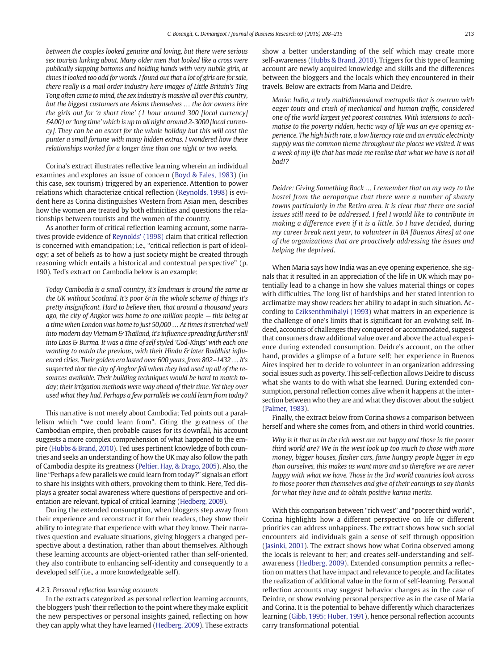between the couples looked genuine and loving, but there were serious sex tourists lurking about. Many older men that looked like a cross were publically slapping bottoms and holding hands with very nubile girls, at times it looked too odd for words. I found out that a lot of girls are for sale, there really is a mail order industry here images of Little Britain's Ting Tong often came to mind, the sex industry is massive all over this country, but the biggest customers are Asians themselves … the bar owners hire the girls out for 'a short time' (1 hour around 300 [local currency] £4.00) or'long time' which is up to all night around 2-3000 [local currency]. They can be an escort for the whole holiday but this will cost the punter a small fortune with many hidden extras. I wondered how these relationships worked for a longer time than one night or two weeks.

Corina's extract illustrates reflective learning wherein an individual examines and explores an issue of concern ([Boyd & Fales, 1983\)](#page-8-0) (in this case, sex tourism) triggered by an experience. Attention to power relations which characterize critical reflection ([Reynolds, 1998](#page-8-0)) is evident here as Corina distinguishes Western from Asian men, describes how the women are treated by both ethnicities and questions the relationships between tourists and the women of the country.

As another form of critical reflection learning account, some narratives provide evidence of [Reynolds' \(1998\)](#page-8-0) claim that critical reflection is concerned with emancipation; i.e., "critical reflection is part of ideology; a set of beliefs as to how a just society might be created through reasoning which entails a historical and contextual perspective" (p. 190). Ted's extract on Cambodia below is an example:

Today Cambodia is a small country, it's landmass is around the same as the UK without Scotland. It's poor & in the whole scheme of things it's pretty insignificant. Hard to believe then, that around a thousand years ago, the city of Angkor was home to one million people — this being at a time when London was home to just 50,000…At times it stretched well into modern day Vietnam & Thailand, it's influence spreading further still into Laos & Burma. It was a time of self styled 'God-Kings' with each one wanting to outdo the previous, with their Hindu & later Buddhist influenced cities. Their golden era lasted over 600 years, from 802–1432…It's suspected that the city of Angkor fell when they had used up all of the resources available. Their building techniques would be hard to match today; their irrigation methods were way ahead of their time. Yet they over used what they had. Perhaps a few parrallels we could learn from today?

This narrative is not merely about Cambodia; Ted points out a parallelism which "we could learn from". Citing the greatness of the Cambodian empire, then probable causes for its downfall, his account suggests a more complex comprehension of what happened to the empire [\(Hubbs & Brand, 2010](#page-8-0)). Ted uses pertinent knowledge of both countries and seeks an understanding of how the UK may also follow the path of Cambodia despite its greatness [\(Peltier, Hay, & Drago, 2005\)](#page-8-0). Also, the line "Perhaps a few parallels we could learn from today?" signals an effort to share his insights with others, provoking them to think. Here, Ted displays a greater social awareness where questions of perspective and orientation are relevant, typical of critical learning [\(Hedberg, 2009](#page-8-0)).

During the extended consumption, when bloggers step away from their experience and reconstruct it for their readers, they show their ability to integrate that experience with what they know. Their narratives question and evaluate situations, giving bloggers a changed perspective about a destination, rather than about themselves. Although these learning accounts are object-oriented rather than self-oriented, they also contribute to enhancing self-identity and consequently to a developed self (i.e., a more knowledgeable self).

#### 4.2.3. Personal reflection learning accounts

In the extracts categorized as personal reflection learning accounts, the bloggers 'push' their reflection to the point where they make explicit the new perspectives or personal insights gained, reflecting on how they can apply what they have learned [\(Hedberg, 2009](#page-8-0)). These extracts

show a better understanding of the self which may create more self-awareness [\(Hubbs & Brand, 2010](#page-8-0)). Triggers for this type of learning account are newly acquired knowledge and skills and the differences between the bloggers and the locals which they encountered in their travels. Below are extracts from Maria and Deidre.

Maria: India, a truly multidimensional metropolis that is overrun with eager touts and crush of mechanical and human traffic, considered one of the world largest yet poorest countries. With intensions to acclimatise to the poverty ridden, hectic way of life was an eye opening experience. The high birth rate, a low literacy rate and an erratic electricity supply was the common theme throughout the places we visited. It was a week of my life that has made me realise that what we have is not all bad!?

Deidre: Giving Something Back … I remember that on my way to the hostel from the aeroparque that there were a number of shanty towns particularly in the Retiro area. It is clear that there are social issues still need to be addressed. I feel I would like to contribute in making a difference even if it is a little. So I have decided, during my career break next year, to volunteer in BA [Buenos Aires] at one of the organizations that are proactively addressing the issues and helping the deprived.

When Maria says how India was an eye opening experience, she signals that it resulted in an appreciation of the life in UK which may potentially lead to a change in how she values material things or copes with difficulties. The long list of hardships and her stated intention to acclimatize may show readers her ability to adapt in such situation. According to [Cziksenthmihalyi \(1993\)](#page-8-0) what matters in an experience is the challenge of one's limits that is significant for an evolving self. Indeed, accounts of challenges they conquered or accommodated, suggest that consumers draw additional value over and above the actual experience during extended consumption. Deidre's account, on the other hand, provides a glimpse of a future self: her experience in Buenos Aires inspired her to decide to volunteer in an organization addressing social issues such as poverty. This self-reflection allows Deidre to discuss what she wants to do with what she learned. During extended consumption, personal reflection comes alive when it happens at the intersection between who they are and what they discover about the subject [\(Palmer, 1983\)](#page-8-0).

Finally, the extract below from Corina shows a comparison between herself and where she comes from, and others in third world countries.

Why is it that us in the rich west are not happy and those in the poorer third world are? We in the west look up too much to those with more money, bigger houses, flasher cars, fame hungry people bigger in ego than ourselves, this makes us want more and so therefore we are never happy with what we have. Those in the 3rd world countries look across to those poorer than themselves and give of their earnings to say thanks for what they have and to obtain positive karma merits.

With this comparison between "rich west" and "poorer third world", Corina highlights how a different perspective on life or different priorities can address unhappiness. The extract shows how such social encounters aid individuals gain a sense of self through opposition [\(Jasinki, 2001](#page-8-0)). The extract shows how what Corina observed among the locals is relevant to her; and creates self-understanding and selfawareness [\(Hedberg, 2009\)](#page-8-0). Extended consumption permits a reflection on matters that have impact and relevance to people, and facilitates the realization of additional value in the form of self-learning. Personal reflection accounts may suggest behavior changes as in the case of Deirdre, or show evolving personal perspective as in the case of Maria and Corina. It is the potential to behave differently which characterizes learning [\(Gibb, 1995; Huber, 1991\)](#page-8-0), hence personal reflection accounts carry transformational potential.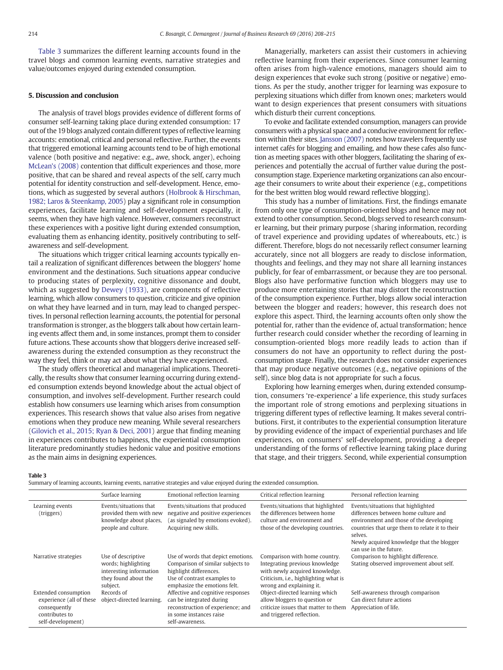Table 3 summarizes the different learning accounts found in the travel blogs and common learning events, narrative strategies and value/outcomes enjoyed during extended consumption.

#### 5. Discussion and conclusion

The analysis of travel blogs provides evidence of different forms of consumer self-learning taking place during extended consumption: 17 out of the 19 blogs analyzed contain different types of reflective learning accounts: emotional, critical and personal reflective. Further, the events that triggered emotional learning accounts tend to be of high emotional valence (both positive and negative: e.g., awe, shock, anger), echoing [McLean's \(2008\)](#page-8-0) contention that difficult experiences and those, more positive, that can be shared and reveal aspects of the self, carry much potential for identity construction and self-development. Hence, emotions, which as suggested by several authors [\(Holbrook & Hirschman,](#page-8-0) [1982; Laros & Steenkamp, 2005\)](#page-8-0) play a significant role in consumption experiences, facilitate learning and self-development especially, it seems, when they have high valence. However, consumers reconstruct these experiences with a positive light during extended consumption, evaluating them as enhancing identity, positively contributing to selfawareness and self-development.

The situations which trigger critical learning accounts typically entail a realization of significant differences between the bloggers' home environment and the destinations. Such situations appear conducive to producing states of perplexity, cognitive dissonance and doubt, which as suggested by [Dewey \(1933\),](#page-8-0) are components of reflective learning, which allow consumers to question, criticize and give opinion on what they have learned and in turn, may lead to changed perspectives. In personal reflection learning accounts, the potential for personal transformation is stronger, as the bloggers talk about how certain learning events affect them and, in some instances, prompt them to consider future actions. These accounts show that bloggers derive increased selfawareness during the extended consumption as they reconstruct the way they feel, think or may act about what they have experienced.

The study offers theoretical and managerial implications. Theoretically, the results show that consumer learning occurring during extended consumption extends beyond knowledge about the actual object of consumption, and involves self-development. Further research could establish how consumers use learning which arises from consumption experiences. This research shows that value also arises from negative emotions when they produce new meaning. While several researchers [\(Gilovich et al., 2015; Ryan & Deci, 2001\)](#page-8-0) argue that finding meaning in experiences contributes to happiness, the experiential consumption literature predominantly studies hedonic value and positive emotions as the main aims in designing experiences.

Managerially, marketers can assist their customers in achieving reflective learning from their experiences. Since consumer learning often arises from high-valence emotions, managers should aim to design experiences that evoke such strong (positive or negative) emotions. As per the study, another trigger for learning was exposure to perplexing situations which differ from known ones; marketers would want to design experiences that present consumers with situations which disturb their current conceptions.

To evoke and facilitate extended consumption, managers can provide consumers with a physical space and a conducive environment for reflection within their sites. [Jansson \(2007\)](#page-8-0) notes how travelers frequently use internet cafés for blogging and emailing, and how these cafes also function as meeting spaces with other bloggers, facilitating the sharing of experiences and potentially the accrual of further value during the postconsumption stage. Experience marketing organizations can also encourage their consumers to write about their experience (e.g., competitions for the best written blog would reward reflective blogging).

This study has a number of limitations. First, the findings emanate from only one type of consumption-oriented blogs and hence may not extend to other consumption. Second, blogs served to research consumer learning, but their primary purpose (sharing information, recording of travel experience and providing updates of whereabouts, etc.) is different. Therefore, blogs do not necessarily reflect consumer learning accurately, since not all bloggers are ready to disclose information, thoughts and feelings, and they may not share all learning instances publicly, for fear of embarrassment, or because they are too personal. Blogs also have performative function which bloggers may use to produce more entertaining stories that may distort the reconstruction of the consumption experience. Further, blogs allow social interaction between the blogger and readers; however, this research does not explore this aspect. Third, the learning accounts often only show the potential for, rather than the evidence of, actual transformation; hence further research could consider whether the recording of learning in consumption-oriented blogs more readily leads to action than if consumers do not have an opportunity to reflect during the postconsumption stage. Finally, the research does not consider experiences that may produce negative outcomes (e.g., negative opinions of the self), since blog data is not appropriate for such a focus.

Exploring how learning emerges when, during extended consumption, consumers 're-experience' a life experience, this study surfaces the important role of strong emotions and perplexing situations in triggering different types of reflective learning. It makes several contributions. First, it contributes to the experiential consumption literature by providing evidence of the impact of experiential purchases and life experiences, on consumers' self-development, providing a deeper understanding of the forms of reflective learning taking place during that stage, and their triggers. Second, while experiential consumption

#### Table 3

Summary of learning accounts, learning events, narrative strategies and value enjoyed during the extended consumption.

|                                                                                                                | Surface learning                                                                                         | Emotional reflection learning                                                                                                                                    | Critical reflection learning                                                                                                                                           | Personal reflection learning                                                                                                                                                                                                                              |
|----------------------------------------------------------------------------------------------------------------|----------------------------------------------------------------------------------------------------------|------------------------------------------------------------------------------------------------------------------------------------------------------------------|------------------------------------------------------------------------------------------------------------------------------------------------------------------------|-----------------------------------------------------------------------------------------------------------------------------------------------------------------------------------------------------------------------------------------------------------|
| Learning events<br>(triggers)                                                                                  | Events/situations that<br>provided them with new<br>knowledge about places,<br>people and culture.       | Events/situations that produced<br>negative and positive experiences<br>(as signaled by emotions evoked).<br>Acquiring new skills.                               | Events/situations that highlighted<br>the differences between home<br>culture and environment and<br>those of the developing countries.                                | Events/situations that highlighted<br>differences between home culture and<br>environment and those of the developing<br>countries that urge them to relate it to their<br>selves.<br>Newly acquired knowledge that the blogger<br>can use in the future. |
| Narrative strategies                                                                                           | Use of descriptive<br>words; highlighting<br>interesting information<br>they found about the<br>subject. | Use of words that depict emotions.<br>Comparison of similar subjects to<br>highlight differences.<br>Use of contrast examples to<br>emphasize the emotions felt. | Comparison with home country.<br>Integrating previous knowledge<br>with newly acquired knowledge.<br>Criticism, i.e., highlighting what is<br>wrong and explaining it. | Comparison to highlight difference.<br>Stating observed improvement about self.                                                                                                                                                                           |
| <b>Extended consumption</b><br>experience (all of these<br>consequently<br>contributes to<br>self-development) | Records of<br>object-directed learning.                                                                  | Affective and cognitive responses<br>can be integrated during<br>reconstruction of experience; and<br>in some instances raise<br>self-awareness.                 | Object-directed learning which<br>allow bloggers to question or<br>criticize issues that matter to them<br>and triggered reflection.                                   | Self-awareness through comparison<br>Can direct future actions<br>Appreciation of life.                                                                                                                                                                   |